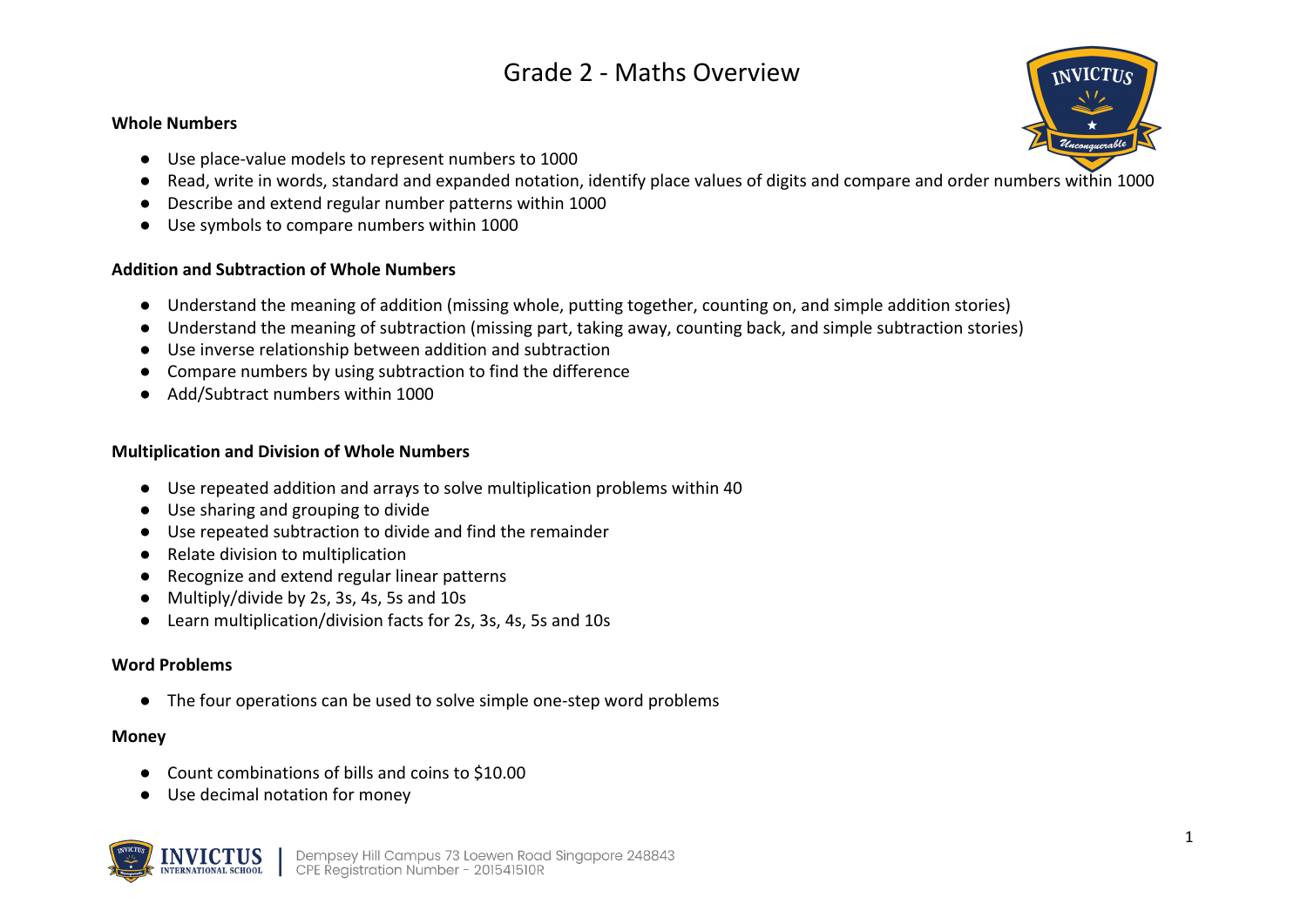# Grade 2 - Maths Overview

### **Whole Numbers**

- Use place-value models to represent numbers to 1000
- Read, write in words, standard and expanded notation, identify place values of digits and compare and order numbers within 1000
- Describe and extend regular number patterns within 1000
- Use symbols to compare numbers within 1000

## **Addition and Subtraction of Whole Numbers**

- Understand the meaning of addition (missing whole, putting together, counting on, and simple addition stories)
- Understand the meaning of subtraction (missing part, taking away, counting back, and simple subtraction stories)
- Use inverse relationship between addition and subtraction
- Compare numbers by using subtraction to find the difference
- Add/Subtract numbers within 1000

## **Multiplication and Division of Whole Numbers**

- Use repeated addition and arrays to solve multiplication problems within 40
- Use sharing and grouping to divide
- Use repeated subtraction to divide and find the remainder
- Relate division to multiplication
- Recognize and extend regular linear patterns
- Multiply/divide by 2s, 3s, 4s, 5s and 10s
- Learn multiplication/division facts for 2s, 3s, 4s, 5s and 10s

## **Word Problems**

● The four operations can be used to solve simple one-step word problems

## **Money**

- Count combinations of bills and coins to \$10.00
- Use decimal notation for money



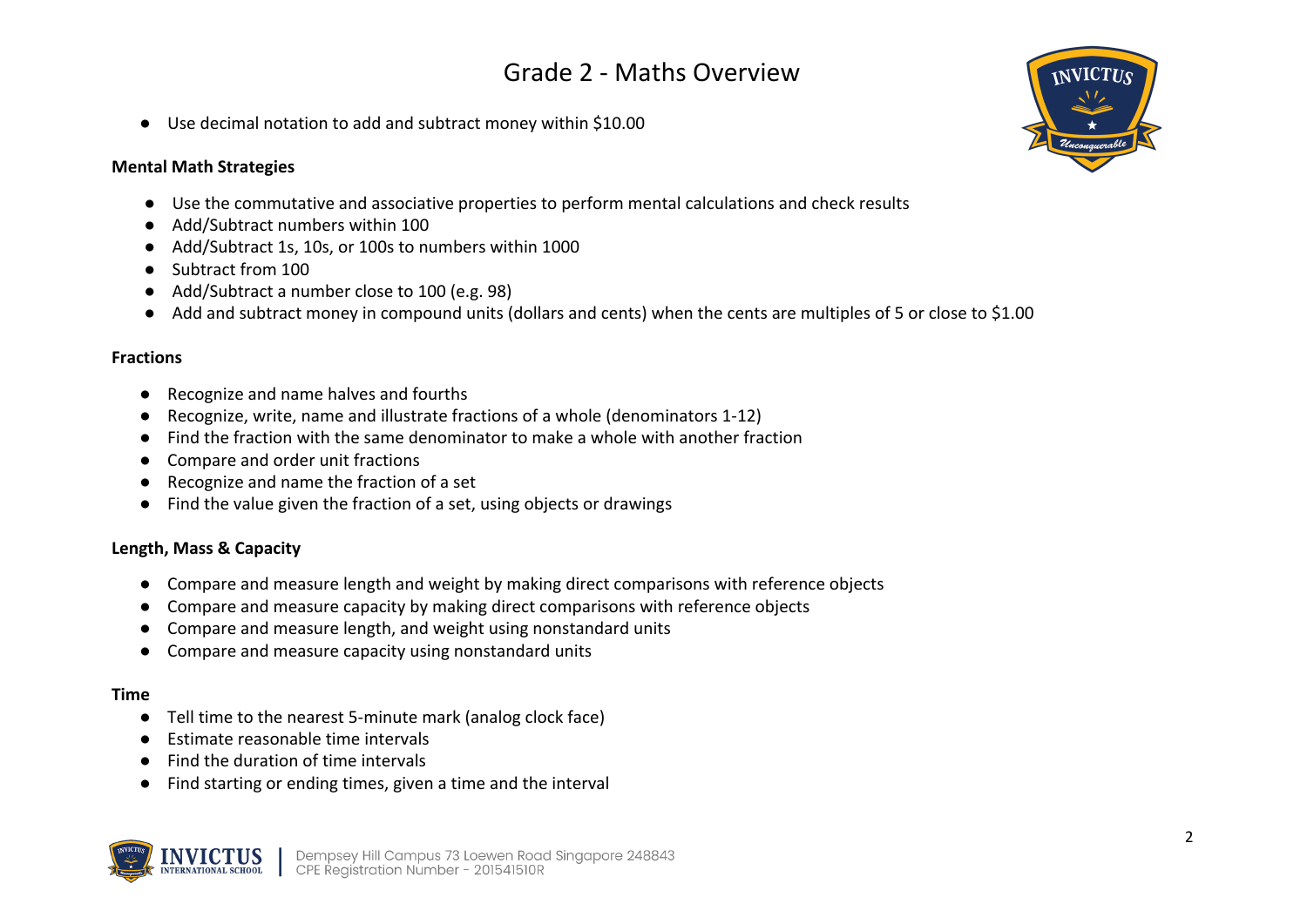# Grade 2 - Maths Overview

● Use decimal notation to add and subtract money within \$10.00

## **Mental Math Strategies**

- Use the commutative and associative properties to perform mental calculations and check results
- Add/Subtract numbers within 100
- Add/Subtract 1s, 10s, or 100s to numbers within 1000
- Subtract from 100
- Add/Subtract a number close to 100 (e.g. 98)
- Add and subtract money in compound units (dollars and cents) when the cents are multiples of 5 or close to \$1.00

### **Fractions**

- Recognize and name halves and fourths
- Recognize, write, name and illustrate fractions of a whole (denominators 1-12)
- Find the fraction with the same denominator to make a whole with another fraction
- Compare and order unit fractions
- Recognize and name the fraction of a set
- Find the value given the fraction of a set, using objects or drawings

## **Length, Mass & Capacity**

- Compare and measure length and weight by making direct comparisons with reference objects
- Compare and measure capacity by making direct comparisons with reference objects
- Compare and measure length, and weight using nonstandard units
- Compare and measure capacity using nonstandard units

#### **Time**

- Tell time to the nearest 5-minute mark (analog clock face)
- Estimate reasonable time intervals
- Find the duration of time intervals
- Find starting or ending times, given a time and the interval